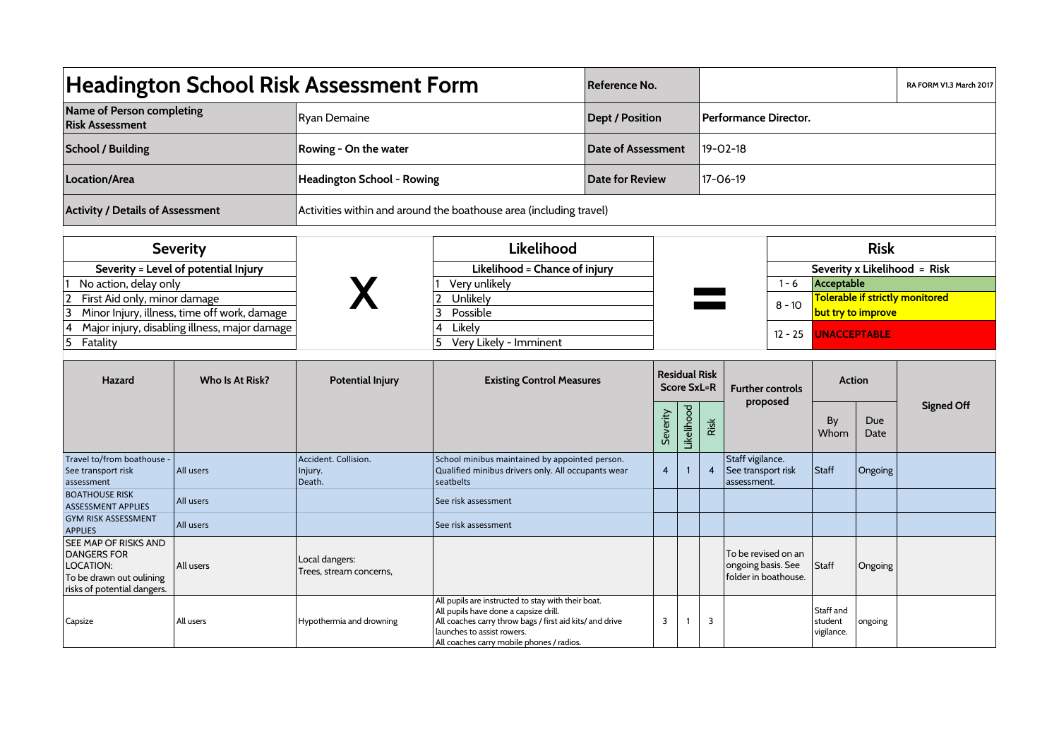| <b>Headington School Risk Assessment Form</b>                                                                             |                 |                                                                    |                                                                                                                                                                                                                                    | Reference No.             |                |                       |                                                    |                                                                   |                                     |                                                       |                                     | RA FORM V1.3 March 2017 |
|---------------------------------------------------------------------------------------------------------------------------|-----------------|--------------------------------------------------------------------|------------------------------------------------------------------------------------------------------------------------------------------------------------------------------------------------------------------------------------|---------------------------|----------------|-----------------------|----------------------------------------------------|-------------------------------------------------------------------|-------------------------------------|-------------------------------------------------------|-------------------------------------|-------------------------|
| Name of Person completing<br><b>Risk Assessment</b>                                                                       |                 | Ryan Demaine                                                       |                                                                                                                                                                                                                                    | <b>Dept / Position</b>    |                | Performance Director. |                                                    |                                                                   |                                     |                                                       |                                     |                         |
| <b>School / Building</b>                                                                                                  |                 | Rowing - On the water                                              |                                                                                                                                                                                                                                    | <b>Date of Assessment</b> |                | $19 - 02 - 18$        |                                                    |                                                                   |                                     |                                                       |                                     |                         |
| Location/Area                                                                                                             |                 | Headington School - Rowing                                         |                                                                                                                                                                                                                                    | <b>Date for Review</b>    |                |                       | $17 - 06 - 19$                                     |                                                                   |                                     |                                                       |                                     |                         |
| <b>Activity / Details of Assessment</b>                                                                                   |                 | Activities within and around the boathouse area (including travel) |                                                                                                                                                                                                                                    |                           |                |                       |                                                    |                                                                   |                                     |                                                       |                                     |                         |
| <b>Severity</b>                                                                                                           |                 |                                                                    | Likelihood                                                                                                                                                                                                                         |                           |                |                       |                                                    |                                                                   | <b>Risk</b>                         |                                                       |                                     |                         |
| Severity = Level of potential Injury                                                                                      |                 |                                                                    | Likelihood = Chance of injury                                                                                                                                                                                                      |                           |                |                       |                                                    |                                                                   | Severity x Likelihood = Risk        |                                                       |                                     |                         |
| No action, delay only                                                                                                     |                 |                                                                    | Very unlikely                                                                                                                                                                                                                      |                           |                |                       |                                                    |                                                                   | $1 - 6$                             | Acceptable                                            |                                     |                         |
| First Aid only, minor damage<br>3<br>Minor Injury, illness, time off work, damage                                         |                 |                                                                    | Unlikely<br>Possible<br>3                                                                                                                                                                                                          |                           |                |                       |                                                    |                                                                   | $8 - 10$                            | Tolerable if strictly monitored<br>but try to improve |                                     |                         |
| Major injury, disabling illness, major damage<br>4<br>$\overline{5}$<br>Fatality                                          |                 |                                                                    | $\overline{4}$<br>Likely<br>Very Likely - Imminent<br>5                                                                                                                                                                            |                           |                |                       |                                                    |                                                                   | $12 - 25$                           | <b>UNACCEPTABLE</b>                                   |                                     |                         |
| Hazard                                                                                                                    | Who Is At Risk? | <b>Potential Injury</b>                                            | <b>Existing Control Measures</b>                                                                                                                                                                                                   |                           | Severity       | Likelihood            | <b>Residual Risk</b><br><b>Score SxL=R</b><br>Risk |                                                                   | <b>Further controls</b><br>proposed | By<br>Whom                                            | <b>Action</b><br><b>Due</b><br>Date | <b>Signed Off</b>       |
| Travel to/from boathouse -<br>See transport risk<br>assessment                                                            | All users       | Accident. Collision.<br>Injury.<br>Death.                          | School minibus maintained by appointed person.<br>Qualified minibus drivers only. All occupants wear<br>seatbelts                                                                                                                  |                           | $\overline{4}$ | $\mathbf{1}$          | $\overline{\mathbf{4}}$                            | Staff vigilance.<br>See transport risk<br>assessment.             |                                     | <b>Staff</b>                                          | Ongoing                             |                         |
| <b>BOATHOUSE RISK</b><br><b>ASSESSMENT APPLIES</b>                                                                        | All users       |                                                                    | See risk assessment                                                                                                                                                                                                                |                           |                |                       |                                                    |                                                                   |                                     |                                                       |                                     |                         |
| <b>GYM RISK ASSESSMENT</b><br><b>APPLIES</b>                                                                              | All users       |                                                                    | See risk assessment                                                                                                                                                                                                                |                           |                |                       |                                                    |                                                                   |                                     |                                                       |                                     |                         |
| SEE MAP OF RISKS AND<br><b>DANGERS FOR</b><br><b>LOCATION:</b><br>To be drawn out oulining<br>risks of potential dangers. | All users       | Local dangers:<br>Trees, stream concerns,                          |                                                                                                                                                                                                                                    |                           |                |                       |                                                    | To be revised on an<br>ongoing basis. See<br>folder in boathouse. |                                     | <b>Staff</b>                                          | Ongoing                             |                         |
| Capsize                                                                                                                   | All users       | Hypothermia and drowning                                           | All pupils are instructed to stay with their boat.<br>All pupils have done a capsize drill.<br>All coaches carry throw bags / first aid kits/ and drive<br>launches to assist rowers.<br>All coaches carry mobile phones / radios. |                           | 3              |                       | 3                                                  |                                                                   |                                     | Staff and<br>student<br>vigilance.                    | ongoing                             |                         |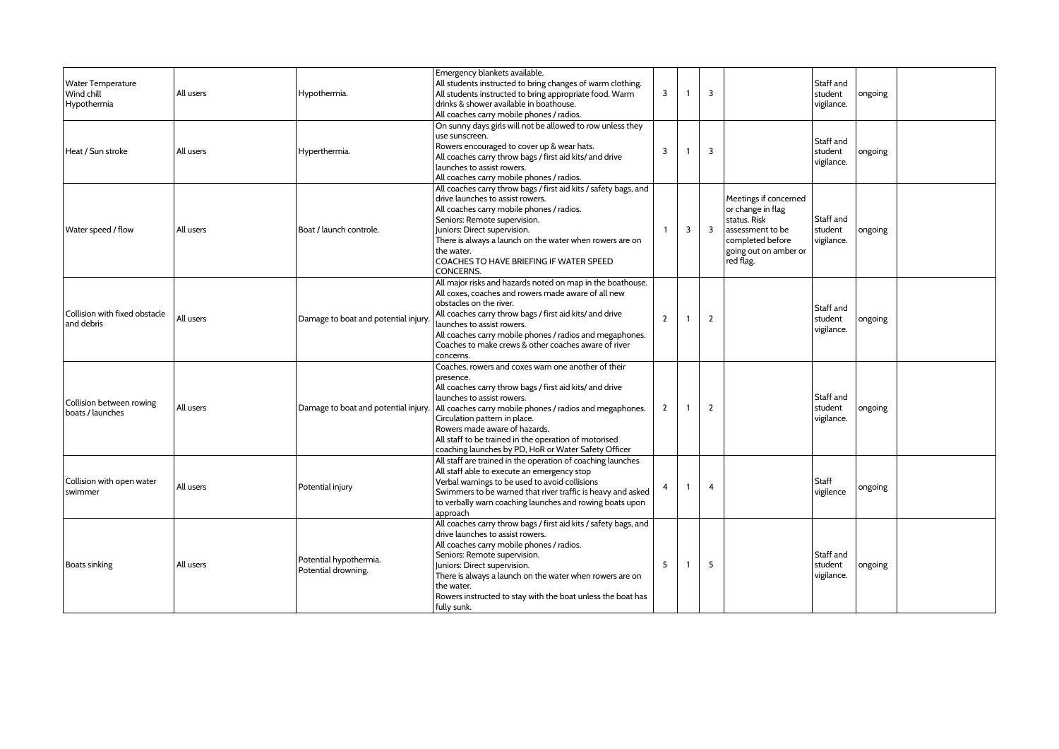| <b>Water Temperature</b><br>Wind chill<br>Hypothermia | All users | Hypothermia.                                  | Emergency blankets available.<br>All students instructed to bring changes of warm clothing.<br>All students instructed to bring appropriate food. Warm<br>drinks & shower available in boathouse.<br>All coaches carry mobile phones / radios.                                                                                                                                                                                                 | 3                       | $\overline{1}$ | $\overline{3}$ |                                                                                                                                          | Staff and<br>student<br>vigilance. | ongoing |  |
|-------------------------------------------------------|-----------|-----------------------------------------------|------------------------------------------------------------------------------------------------------------------------------------------------------------------------------------------------------------------------------------------------------------------------------------------------------------------------------------------------------------------------------------------------------------------------------------------------|-------------------------|----------------|----------------|------------------------------------------------------------------------------------------------------------------------------------------|------------------------------------|---------|--|
| Heat / Sun stroke                                     | All users | Hyperthermia.                                 | On sunny days girls will not be allowed to row unless they<br>use sunscreen.<br>Rowers encouraged to cover up & wear hats.<br>All coaches carry throw bags / first aid kits/ and drive<br>launches to assist rowers.<br>All coaches carry mobile phones / radios.                                                                                                                                                                              | 3                       | $\overline{1}$ | $\overline{3}$ |                                                                                                                                          | Staff and<br>student<br>vigilance. | ongoing |  |
| Water speed / flow                                    | All users | Boat / launch controle.                       | All coaches carry throw bags / first aid kits / safety bags, and<br>drive launches to assist rowers.<br>All coaches carry mobile phones / radios.<br>Seniors: Remote supervision.<br>Juniors: Direct supervision.<br>There is always a launch on the water when rowers are on<br>the water.<br>COACHES TO HAVE BRIEFING IF WATER SPEED<br><b>CONCERNS.</b>                                                                                     | $\overline{\mathbf{1}}$ | $\overline{3}$ | $\overline{3}$ | Meetings if concerned<br>or change in flag<br>status. Risk<br>assessment to be<br>completed before<br>going out on amber or<br>red flag. | Staff and<br>student<br>vigilance. | ongoing |  |
| Collision with fixed obstacle<br>and debris           | All users | Damage to boat and potential injury           | All major risks and hazards noted on map in the boathouse.<br>All coxes, coaches and rowers made aware of all new<br>obstacles on the river.<br>All coaches carry throw bags / first aid kits/ and drive<br>launches to assist rowers.<br>All coaches carry mobile phones / radios and megaphones.<br>Coaches to make crews & other coaches aware of river<br>concerns.                                                                        | $\overline{2}$          | $\overline{1}$ | $\overline{2}$ |                                                                                                                                          | Staff and<br>student<br>vigilance. | ongoing |  |
| Collision between rowing<br>boats / launches          | All users |                                               | Coaches, rowers and coxes warn one another of their<br>presence.<br>All coaches carry throw bags / first aid kits/ and drive<br>launches to assist rowers.<br>Damage to boat and potential injury. All coaches carry mobile phones / radios and megaphones.<br>Circulation pattern in place.<br>Rowers made aware of hazards.<br>All staff to be trained in the operation of motorised<br>coaching launches by PD, HoR or Water Safety Officer | $\overline{2}$          | $\overline{1}$ | $\overline{2}$ |                                                                                                                                          | Staff and<br>student<br>vigilance. | ongoing |  |
| Collision with open water<br>swimmer                  | All users | Potential injury                              | All staff are trained in the operation of coaching launches<br>All staff able to execute an emergency stop<br>Verbal warnings to be used to avoid collisions<br>Swimmers to be warned that river traffic is heavy and asked<br>to verbally warn coaching launches and rowing boats upon<br>approach                                                                                                                                            | $\overline{4}$          | $\overline{1}$ | $\overline{4}$ |                                                                                                                                          | Staff<br>vigilence                 | ongoing |  |
| <b>Boats sinking</b>                                  | All users | Potential hypothermia.<br>Potential drowning. | All coaches carry throw bags / first aid kits / safety bags, and<br>drive launches to assist rowers.<br>All coaches carry mobile phones / radios.<br>Seniors: Remote supervision.<br>Juniors: Direct supervision.<br>There is always a launch on the water when rowers are on<br>the water.<br>Rowers instructed to stay with the boat unless the boat has<br>fully sunk.                                                                      | 5                       | $\overline{1}$ | 5              |                                                                                                                                          | Staff and<br>student<br>vigilance. | ongoing |  |